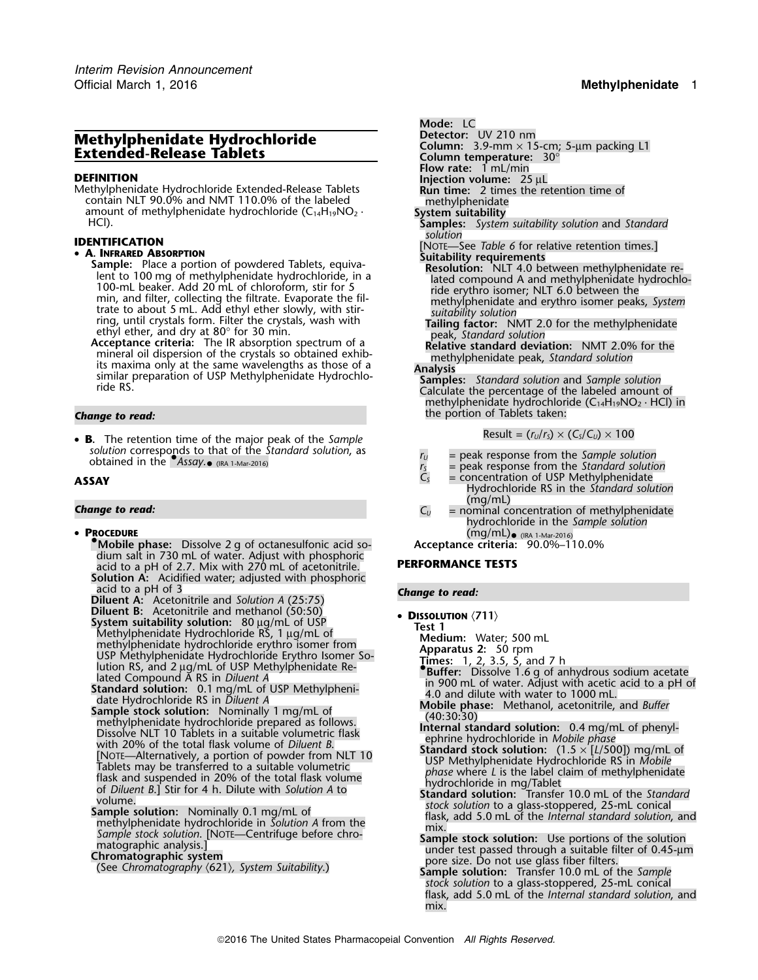# **Extended-Release Tablets Column temperature:** 30°

Methylphenidate Hydrochloride Extended-Release Tablets contain NLT 90.0% and NMT 110.0% of the labeled

### •

**• B.** The retention time of the major peak of the *Sample* **Example** Result =  $(r_0/r_s) \times (C_s/C_v) \times 100$ *solution* corresponds to that of the *Standard solution*, as  $r_U$  = peak response from the *Sample solution*<br>obtained in the *•Assay.*•  $r_{\text{IRA 1-Mar-2016}}$   $r_S$  = peak response from the *Standard solution*<br> $r_S$  = conce

# •

**•.Mobile phase:** Dissolve 2 g of octanesulfonic acid so- **Acceptance criteria:** 90.0%–110.0% dium salt in 730 mL of water. Adjust with phosphoric acid to a pH of 2.7. Mix with 270 mL of acetonitrile. **PERFORMANCE TESTS Solution A:** Acidified water; adjusted with phosphoric<br>acid to a pH of 3

acid to a pH of 3 *Change to read:* **Diluent A:** Acetonitrile and *Solution A* (25:75) **Diluent B:** Acetonitrile and methanol (50:50) **•••••••••••••••••••••••••••••••••** System suitability solution: 80 µg/mL of USP<br>
Methylphenidate Hydrochloride RS, 1 µg/mL of<br>
Methylphenidate Hydrochloride RS, 1 µg/mL of<br>
USP Methylphenidate Hydrochloride erythro isomer from<br>
USP Methylphenidate Hydrochlo

- 
- and Compound A RS in *Diluent* A<br>
lated Compound A RS in *Diluent* A<br> **Standard solution**: 0.1 mg/mL of USP Methylphenial and solution: 0.1 mg/mL of the standard solution: 0.1 mg/mL of USP Methylphenial and dilute with wa

*.* **Mode:** LC **Methylphenidate Hydrochloride** Detector: UV 210 nm **Flow rate:** 1 mL/min **DEFINITION**<br>Methylphenidate Hydrochloride Extended-Release Tablets **Injection volume:** 25 µL<br>**Run time:** 2 times the retention time of contain NLT 90.0% and NMT 110.0% of the labeled<br>amount of methylphenidate hydrochloride (C<sub>14</sub>H<sub>19</sub>NO<sub>2</sub> · **System suitability**<br>HCl). **Samples:** *System suitability solution* and *Standard*<br>solution solution **IDENTIFICATION**<br>• **A. INFRARED ABSORPTION**<br>**Suitability requirements**<br>**Suitability requirements** • **A. INFRARED ABSORPTION**<br>
Sample: Place a portion of powdered Tablets, equiva-<br>
lent to 100 mg of methylphenidate hydrochloride, in a<br>
lated compound A and methylphenidate hydrochlo-<br>
100-mL beaker. Add 20 mL of chlorofo

methylphenidate hydrochloride  $(C_{14}H_{19}NO_2 \cdot HCl)$  in **Change to read:** the portion of Tablets taken:

$$
Result = (r_U/r_S) \times (C_S/C_U) \times 100
$$

- 
- = peak response from the *Standard solution*
- **ASSAY C**<sub>S</sub> = concentration of USP Methylphenidate Hydrochloride RS in the *Standard solution*
- **Change to read: C**<sub>U</sub> = nominal concentration of methylphenidate hydrochloride in the *Sample solution* **PROCEDURE** (mg/mL)• (IRA 1-Mar-2016)

- -
	-
	-
	-
	-
	-
	-
	-
	-
	- *stock solution* to a glass-stoppered, 25-mL conical flask, add 5.0 mL of the *Internal standard solution*, and mix.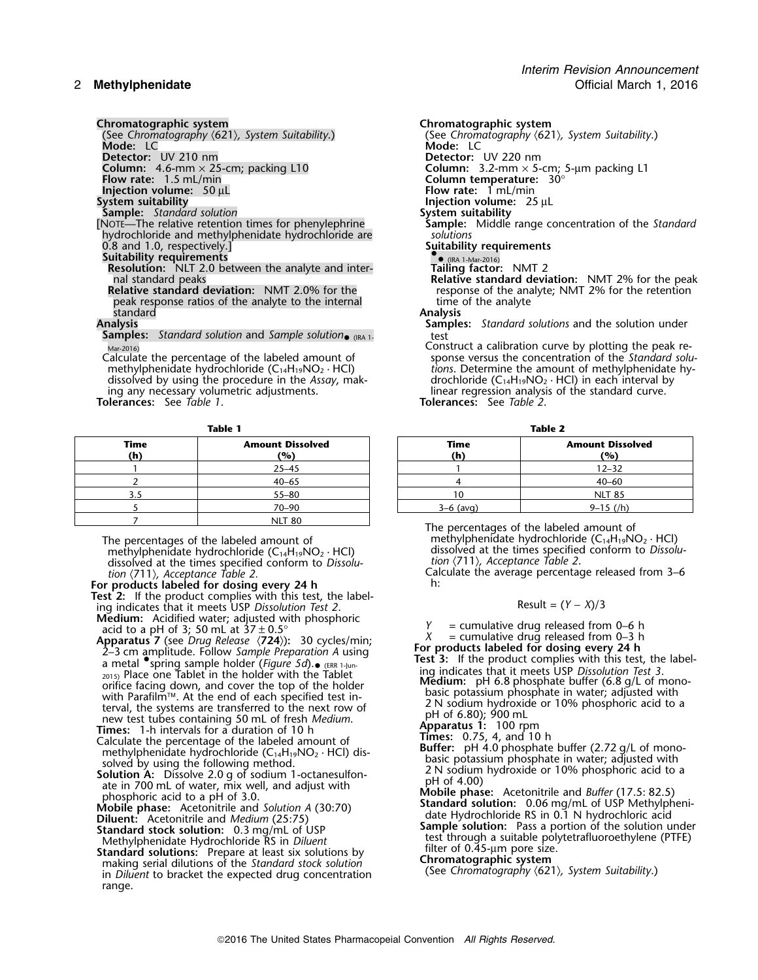**Injection volume:** 50 µL<br>**System suitability** 

**Sample:** *Standard solution*<br>[NOTE—The relative retention times for phenylephrine hydrochloride and methylphenidate hydrochloride are *solutions* 0.8 and 1.0, respectively.]

**Suitability requirements** •.

**Resolution:** NLT 2.0 between the analyte and inter- **Tailing factor:** NMT 2

peak response ratios of the analyte to the internal<br>standard standard **Analysis**

**Samples:** *Standard solution* and *Sample solution*• (IRA 1- test Mar-2016) Construct a calibration curve by plotting the peak re-

dissolved by using the procedure in the *Assay*, mak-<br>ing any necessary volumetric adjustments.

**Tolerances:** See *Table 1*. **Tolerances:** See *Table 2*.

| Time<br>(h) | <b>Amount Dissolved</b><br>(%) | Time<br>(h) | <b>Amount Disse</b><br>(%) |
|-------------|--------------------------------|-------------|----------------------------|
|             | $25 - 45$                      |             | $12 - 32$                  |
|             | $40 - 65$                      |             | $40 - 60$                  |
| 3.5         | $55 - 80$                      |             | <b>NLT 85</b>              |
|             | $70 - 90$                      | $3-6$ (avg) | $9-15$ (/h)                |
|             | <b>NIT 80</b>                  |             |                            |

methylphenidate hydrochloride (C<sub>14</sub>H<sub>19</sub>NO<sub>2</sub> · HCl) dissolved at the times specified conform to *Dissolu-* tion (711), *Acceptance Table 2*. dissolved at the times specified conform to *Dissolu- tion* 〈711〉*, Acceptance Table 2*.

**For products labeled for dosing every 24 h** h: **Test 2:** If the product complies with this test, the labeling indicates that it meets USP *Dissolution Test 2*. Result =  $(Y - X)/3$ <br>Medium: Acidified water; adjusted with phosphoric  $Y = \text{cumulative drug released for } Y$ 

- Apparatus 7 (see Drug Release (724)): 30 cycles/min;<br>
Apparatus 7 (see Drug Release (724)): 30 cycles/min;<br>
2-3 cm amplitude. Follow *Sample Preparation A* using<br>
a metal  $\bullet$  spring sample holder (*Figure 5d*). **a** (ERR a metal spring sample holder (righter surface of the Tablet<br>
2015) Place one Tablet in the holder with the Tablet<br>
orifice facing down, and cover the top of the holder **Medium:** pH 6.8 phosphate buffer (6.8 g/L of mono-<br>
b with Parafilm<sup>TM</sup>. At the end of each specified test in-<br>terval, the systems are transferred to the next row of the properties of the systems are transferred to the next row of<br>new test tubes containing 50 mL of fresh *Me* **The Example 1-h intervals for a duration of 10 h intervals for a duration of 10 h intervals for a duration of 10 h intervals for a duration of 10 h intervals for a duration of**  $\alpha$  **and 10 h**  $\alpha$  **and 10 h**  $\alpha$  **and 10 h \alpha**
- Calculate the percentage of the labeled amount of<br>methylphenidate hydrochloride  $(C_{14}H_{19}NO_2 \cdot HC)$  dis-<br>basic potasium phosphate in water adjusted with

Solution A: Dissolve by using the following method.<br>
Solution A: Dissolve 2.0 g of sodium 1-octanesulfon-<br>
ate in 700 mL of water, mix well, and adjust with<br>
phosphoric acid to a pH of 3.0.<br>
Mobile phase: Acetonitrile and

Methylphenidate Hydrochloride RS in *Diluent* filter of 0.45-µm pore size.<br> **Standard solutions:** Prepare at least six solutions by **Chromatographic system** making serial dilutions of the *Standard stock solution* **Chromatographic system** in *Diluent* to bracket the expected drug concentration range.

**Chromatographic system**<br>
(See Chromatography  $\langle 621 \rangle$ , System Suitability.) **Chromatography (621**) (See *Chromatography* 〈621〉*, System Suitability*.) (See *Chromatography* 〈621〉*, System Suitability*.) **Mode:** LC **Mode:** LC **Detector:** UV 210 nm **Detector:** UV 220 nm **Column:** 4.6-mm × 25-cm; packing L10 **Column:** 3.2-mm × 5-cm; 5-µm packing L1 **Folumn:** 4.6-mm × 25-cm; packing L10<br> **Flow rate:** 1.5 mL/min **Column temperature:** 30°<br> **Injection volume:** 50 µL<br> **Flow rate:** 1 mL/min **Injection volume:** 25 µL<br>**System suitability**  $S$ ample: Middle range concentration of the *Standard*<br>solutions • (IRA 1-Mar-2016) nal standard peaks **Relative standard deviation:** NMT 2% for the peak **Relative standard deviation:** NMT 2.0% for the response of the analyte; NMT 2% for the retention peak response ratios of the analyte to the internal time of the analyte **Samples:** *Standard solutions* and the solution under

Calculate the percentage of the labeled amount of sponse versus the concentration of the *Standard solu*matic and the percentage of the labeled amount of consider a considered amount of calculate the percentage of the labeled amount of methylphenidate hydrochloride (C<sub>14</sub>H<sub>19</sub>NO<sub>2</sub> · HCl) *tions*. Determine the amount of me linear regression analysis of the standard curve.<br>**Tolerances:** See Table 2.

**Table 1 Table 2**

| Time<br>(h) | <b>Amount Dissolved</b><br>(%) | Time<br>(h) | <b>Amount Dissolved</b><br>(9) |
|-------------|--------------------------------|-------------|--------------------------------|
|             | $25 - 45$                      |             | $12 - 32$                      |
|             | $40 - 65$                      |             | $40 - 60$                      |
| 3.5         | $55 - 80$                      | ۱٥          | <b>NLT 85</b>                  |
|             | 70–90                          | $3-6$ (avg) | $9-15$ (/h)                    |

The percentages of the labeled amount of The percentages of the labeled amount of methylphenidate hydrochloride (C<sub>14</sub>H<sub>19</sub>NO<sub>2</sub> · HCl)<br>methylphenidate hydrochloride (C<sub>14</sub>H<sub>19</sub>NO<sub>2</sub> · HCl) dissolved at the times specified conform to *Dissolu*-

Calculate the average percentage released from 3–6<br>h:

- 
- 

prospheric acid to a pH of 3.0.<br>
Mobile phase: Acetonitrile and *Solution* (25:75)<br>
Mobile phase: Acetonitrile and *Medium* (25:75)<br>
Standard solution: 0.06 mg/mL of USP Methylpheni-<br>
date Hydrochloride RS in 0.1 N hydroch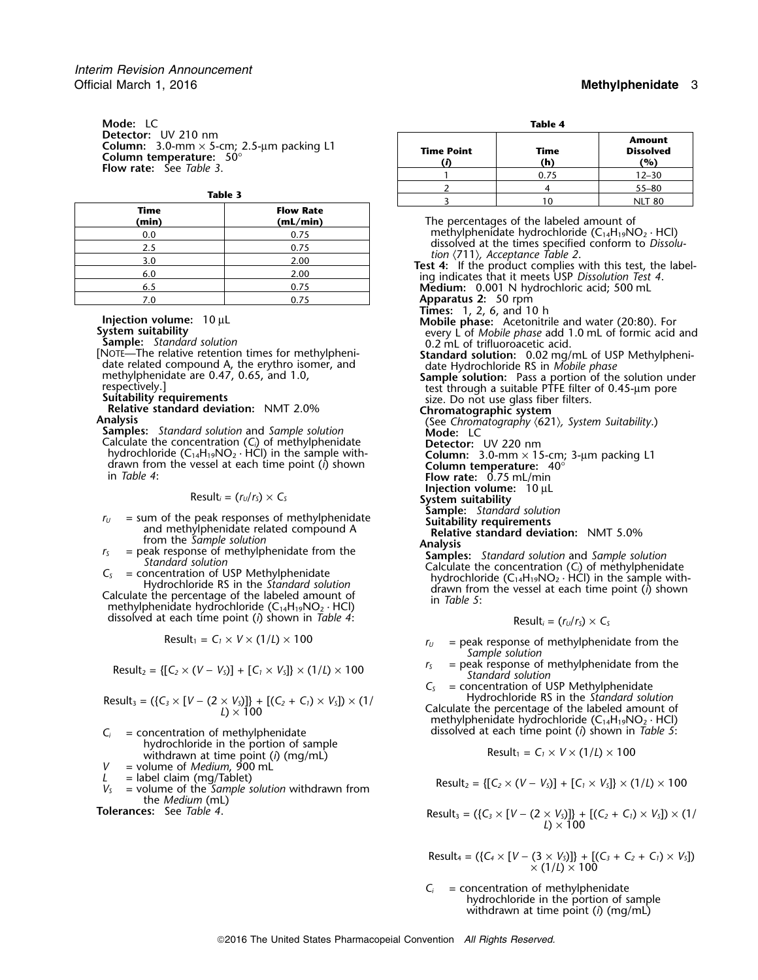*Interim Revision Announcement* Official March 1, 2016 **Methylphenidate** 3

**Mode:** LC **Table 4**<br> **Detector:** UV 210 nm **Column:** 3.0-mm  $\times$  5-cm; 2.5-µm packing L1<br>**Column temperature:** 50°<br>**Flow rate:** See *Table* 3.

| <b>Time</b><br>(min) | <b>Flow Rate</b><br>(mL/min) |
|----------------------|------------------------------|
| 0.0                  | 0.75                         |
| 2.5                  | 0.75                         |
| 3.0                  | 2.00                         |
| 6.0                  | 2.00                         |
| 6.5                  | 0.75                         |
| 7 በ                  | በ 75                         |

**Sample:** *Standard solution*<br>[NOTE—The relative retention times for methylpheni-<br>**Standard solution:** 0.02 ma/

- 
- Calculate the concentration  $(C_i)$  of methylphenidate hydrochloride  $(C_{14}H_{19}NO_2 \cdot HCl)$  in the sample with-Calculate the concentration (C<sub>i</sub>) of methylphenidate<br>
hydrochloride (C<sub>14</sub>H<sub>19</sub>NO<sub>2</sub> · HCl) in the sample with-<br>
drawn from the vessel at each time point (i) shown<br>
in *Table 4*:<br> **Column temperature:** 40°<br> **Column tempe**

- 
- 
- dissolved at each time point (*i*) shown in *Table 4*:

$$
Result_1 = C_1 \times V \times (1/L) \times 100
$$

$$
Result_2 = \{ [C_2 \times (V - V_s)] + [C_1 \times V_s] \} \times (1/L) \times 100
$$

$$
Result_3 = (\{C_3 \times [V - (2 \times V_3)]\} + [(C_2 + C_1) \times V_3]) \times (1/
$$
  

$$
L) \times 100
$$

- hydrochloride in the portion of sample withdrawn at time point (*i*) (mg/mL)
- *V* = volume of *Medium*, 900 mL
- 
- the *Medium* (mL)

**Tolerances:** See *Table 4*.

| m<br>5-cm; 2.5-µm packing L1<br>e: $50^\circ$ | <b>Time Point</b> | Time<br>(h) | <b>Amount</b><br><b>Dissolved</b><br>(%) |
|-----------------------------------------------|-------------------|-------------|------------------------------------------|
| 23.                                           |                   | 0.75        | $12 - 30$                                |
|                                               |                   |             | $55 - 80$                                |
| Table 3                                       |                   | 10          | <b>NLT 80</b>                            |

**(min) (mL/min)** The percentages of the labeled amount of methylphenidate hydrochloride ( $C_{14}H_{19}NO_2 \cdot HCl$ ) dissolved at the times specified conform to *Dissolu*tion (711), Acceptance Table 2.<br>Test 4: If the product complies with this test, the label-<br>ing indicates that it meets USP Dissolution Test 4. Medium: 0.001 N hydrochloric acid; 500 mL **Apparatus 2:** 50 rpm<br>**Times:** 1, 2, 6, and 10 h. **The Injection volume:** 10 µL **Injection volume:** 10 µL **Mobile phase:** Acetonitrile and water (20:80). For **System suitability** every L of *Mobile phase* add 1.0 mL of formic acid and **Sample:** *Standard solution* **every** NOTE—The relative retention times for methylpheni-<br>date related compound A, the erythro isomer, and<br>methylphenidate are 0.47, 0.65, and 1.0,<br>respectively.]<br>methylphenidate are 0.47, 0.65, and 1.0,<br>respectively.]<br>sample sol methylphenidate are 0.47, 0.65, and 1.0,<br>
respectively.]<br>
Sample solution: Pass a portion of the solution under<br>
respectively.]<br>
Suitability requirements<br>
Relative standard deviation: NMT 2.0%<br>
Analysis<br>
Samples: Standard **Injection volume:**  $10 \mu L$ <br>Result<sub>i</sub> = ( $r_U/r_S$ ) × *C<sub>S</sub>* **System suitability Sample:** *Standard solution*  $r_0$  = sum of the peak responses of methylphenidate<br>
and methylphenidate related compound A<br>
from the *Sample solution*<br>  $r_5$  = peak response of methylphenidate from the<br> *Standard solution*<br> *C<sub>S</sub>* = concentration (C<sub>i</sub>

$$
Result_i = (r_U/r_S) \times C_S
$$

- $r_U$  = peak response of methylphenidate from the *Sample solution*
- *r*<sub>*S*</sub> = peak response of methylphenidate from the *Standard solution*

*C<sup>S</sup>* = concentration of USP Methylphenidate

Calculate the percentage of the labeled amount of methylphenidate hydrochloride  $(C_{14}H_{19}NO_2 \cdot HCl)$ *C*<sub>i</sub> = concentration of methylphenidate dissolved at each time point (*i*) shown in *Table 5*:

$$
Result_1 = C_1 \times V \times (1/L) \times 100
$$

 $V_s$  = label claim (mg/1ablet)<br>  $V_s$  = volume of the Sample solution withdrawn from Result<sub>2</sub> = {[C<sub>2</sub> × (V – V<sub>S</sub>)] + [C<sub>1</sub> × V<sub>S</sub>]} × (1/L) × 100

$$
Result_3 = (\{C_3 \times [V - (2 \times V_3)]\} + [(C_2 + C_1) \times V_3]) \times (1/
$$
  

$$
L) \times 100
$$

Result<sup>4</sup> = ({*C<sup>4</sup>* <sup>×</sup> [*V* <sup>−</sup> (3 <sup>×</sup> *VS*)]} + [(*C3*<sup>+</sup>*C2*<sup>+</sup>*C1*) <sup>×</sup> *VS*]) <sup>×</sup> (1/*L*) × 100

 $C_i$  = concentration of methylphenidate hydrochloride in the portion of sample withdrawn at time point (*i*) (mg/mL)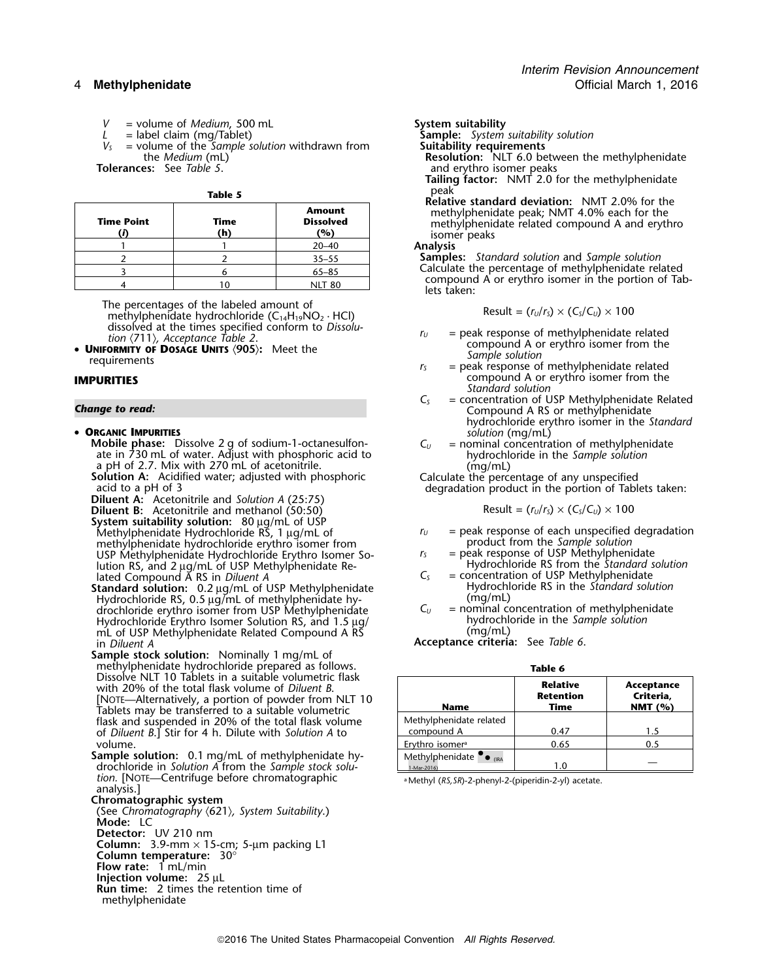- *V* = volume of *Medium*, 500 mL<br> *L* = label claim (mg/Tablet) **Sample:** System suitability
- 
- *L* = label claim (mg/Tablet) **Sample:** *System suitability solution F*  $\frac{1}{2}$  solume of the *Sample solution* withdrawn from the *Medium* (mL)

| <b>Time Point</b> | Time<br>(h) | <b>Amount</b><br><b>Dissolved</b><br>(%) |
|-------------------|-------------|------------------------------------------|
|                   |             | $20 - 40$                                |
|                   |             | $35 - 55$                                |
|                   |             | $65 - 85$                                |
|                   |             |                                          |

The percentages of the labeled amount of methylphenidate hydrochloride (C<sub>14</sub>H<sub>19</sub>NO<sub>2</sub> · HCl)

- ORGANIC IMPURITIES
	- **Mobile phase:** Dissolve 2 g of sodium-1-octanesulfon- *C<sub>U</sub>* = nominal concentration of methylphenidate ate in 730 mL of water. Adjust with phosphoric acid to hydrochloride in the *Sample solution*<br>a pH of 2.7. Mix with 270 mL of acetonitrile. (mg/mL)
	- **Diluent A:** Acetonitrile and *Solution A* (25:75)
	- **Diluent B:** Acetonitrile and methanol (50:50)
	- **System suitability solution:** 80 µg/mL of USP Methylphenidate Hydrochloride RS, 1 <sup>µ</sup>g/mL of *<sup>r</sup><sup>U</sup>* = peak response of each unspecified degradation methylphenidate hydrochloride erythro isomer from product from the *Sample solution*<br>USP Methylphenidate Hydrochloride Erythro Isomer So-<br>  $r_s$  = peak response of USP Methylphenidate USP Methylphenidate Hydrochloride Erythro Isomer So- *<sup>r</sup><sup>S</sup>* = peak response of USP Methylphenidate lution RS, and 2 µg/mL of USP Methylphenidate Re-<br>lated Compound A RS in *Diluent A* 6
	- **Standard solution:** 0.2 µg/mL of USP Methylphenidate Hydrochloride RS. 0.5 µg/mL of methylphenidate hy- (mg/mL) Hydrochloride RS,  $0.5 \mu g/mL$  of methylphenidate hy-<br>drochloride RS,  $0.5 \mu g/mL$  of methylphenidate  $C_U$  = nominal concentration of methylphenidate drochloride erythro isomer from USP Methylphenidate *C<sub>U</sub>* = nominal concentration of methylphen<br>Hydrochloride in the Sample solution RS, and 1.5 ug/ **hydrochloride in the Sample solution** Hydrochloride Erythro Isomer Solution RS, and 1.5 µg/ hydrochloride in the *hydrochloride* in the *Sample solution*<br>ml of USP Methylphenidate Related Compound A RS mL of USP Methylphenidate Related Compound A  $R\bar{S}$  in *Diluent A*
	- **Sample stock solution:** Nominally 1 mg/mL of methylphenidate hydrochloride prepared as follows. **Table 6** Dissolve NLT 10 Tablets in a suitable volumetric flask **Name Time NMT (%)** Tablets may be transferred to a suitable volumetric flask and suspended in 20% of the total flask volume of *Diluent B*.] Stir for 4 h. Dilute with *Solution A* to
	- **Sample solution:** 0.1 mg/mL of methylphenidate hydrochloride in *Solution* A from the *Sample stock solution.* [NOTE—Centrifuge before chromatographic analysis.] a Methyl (*RS,SR*)-2-phenyl-2-(piperidin-2-yl) acetate.

### **Chromatographic system**

(See *Chromatography* 〈621〉*, System Suitability*.) **Mode:** LC **Detector:** UV 210 nm **Column:** 3.9-mm  $\times$  15-cm; 5-µm packing L1 **Column temperature:** 30° **Flow rate:** 1 mL/min **Injection volume:** 25 µL **Run time:** 2 times the retention time of methylphenidate

- the *Medium* (mL)<br>**Resolution:** NLT 6.0 between the methylphenidate<br>and erythro isomer peaks<br>and erythro isomer peaks and erythro isomer peaks
	- **Tailing factor:** NMT 2.0 for the methylphenidate
	- **Table 5 Table 5 Relative standard deviation:** NMT 2.0% for the **Amount** methylphenidate peak; NMT 4.0% each for the **Time Point Time Dissolved** methylphenidate related compound A and erythro **(***i***) (h) (%)** isomer peaks

Analysis

<sup>2</sup> <sup>2</sup> 35–55 **Samples:** *Standard solution* and *Sample solution* Calculate the percentage of methylphenidate related compound A or erythro isomer in the portion of Tab-<br>lets taken:

$$
Result = (rU/rS) \times (CS/CU) \times 100
$$

- dissolved at the times specified conform to *Dissolu-*<br> *tion* (711), *Acceptance Table 2*.<br> **UNIFORMITY OF DOSAGE UNITS** (905): Meet the *form the sample solution*<br> *Sample solution*
- **UP**<br>  $\frac{1}{s}$  = peak response of methylphenidate related compound A or erythro isomer from the **IMPURITIES** *Standard solution*
- **C**<sub>S</sub> = concentration of USP Methylphenidate Related **C**<br>Compound A RS or methylphenidate hydrochloride erythro isomer in the *Standard*
	-

**Solution A:** Acidified water; adjusted with phosphoric Calculate the percentage of any unspecified acid to a pH of 3<br>acid to a pH of 3 degradation product in the portion of Tablets taken:

$$
Result = (r_U/r_S) \times (C_S/C_U) \times 100
$$

- 
- 
- = concentration of USP Methylphenidate<br>Hydrochloride RS in the *Standard solution*
- 

**Acceptance criteria:** See *Table 6*.

| Dissolve NLT 10 Tablets in a suitable volumetric flask<br>with 20% of the total flask volume of Diluent B.<br>[NOTE—Alternatively, a portion of powder from NLT 10<br>Tablets may be transferred to a suitable volumetric | <b>Name</b>                                                            | <b>Relative</b><br>Retention<br>Time | Acceptance<br>Criteria.<br>NMT $(%)$ |
|---------------------------------------------------------------------------------------------------------------------------------------------------------------------------------------------------------------------------|------------------------------------------------------------------------|--------------------------------------|--------------------------------------|
| flask and suspended in 20% of the total flask volume<br>of Diluent B.] Stir for 4 h. Dilute with Solution A to                                                                                                            | Methylphenidate related<br>compound A                                  | 0.47                                 | 1.5                                  |
| volume.                                                                                                                                                                                                                   | Ervthro isomer <sup>a</sup>                                            | 0.65                                 | 0.5                                  |
| ample solution: 0.1 mg/mL of methylphenidate hy-<br>drochloride in Solution A from the Sample stock solu-                                                                                                                 | Methylphenidate $\bullet$ $\bullet$ $\bullet$ $\bullet$<br>1-Mar-2016) | 1.0                                  |                                      |